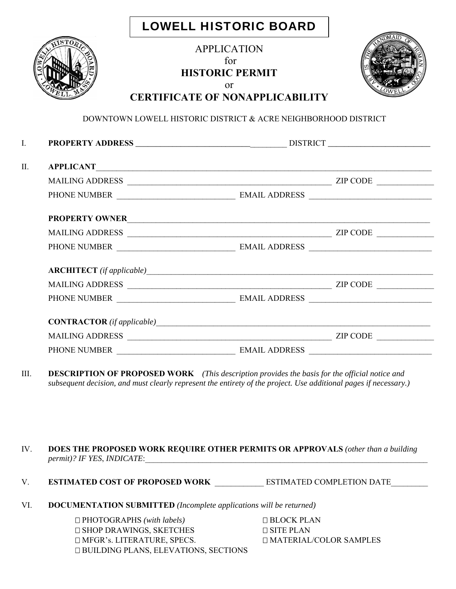|  | <b>LOWELL HISTORIC BOARD</b> |  |
|--|------------------------------|--|
|--|------------------------------|--|

|     | <b>APPLICATION</b><br>for<br><b>HISTORIC PERMIT</b><br><b>or</b><br><b>CERTIFICATE OF NONAPPLICABILITY</b> |  |
|-----|------------------------------------------------------------------------------------------------------------|--|
|     | DOWNTOWN LOWELL HISTORIC DISTRICT & ACRE NEIGHBORHOOD DISTRICT                                             |  |
|     |                                                                                                            |  |
| ΙΙ. |                                                                                                            |  |
|     |                                                                                                            |  |
|     |                                                                                                            |  |
|     | PROPERTY OWNER                                                                                             |  |
|     |                                                                                                            |  |
|     |                                                                                                            |  |
|     |                                                                                                            |  |
|     |                                                                                                            |  |
|     |                                                                                                            |  |
|     | $CONTRACTOR (if applicable)$                                                                               |  |
|     |                                                                                                            |  |
|     |                                                                                                            |  |
|     |                                                                                                            |  |

III. **DESCRIPTION OF PROPOSED WORK** *(This description provides the basis for the official notice and subsequent decision, and must clearly represent the entirety of the project. Use additional pages if necessary.)*

## IV. **DOES THE PROPOSED WORK REQUIRE OTHER PERMITS OR APPROVALS** *(other than a building permit)? IF YES, INDICATE:*

- V. **ESTIMATED COST OF PROPOSED WORK** \_\_\_\_\_\_\_\_\_\_\_\_\_ ESTIMATED COMPLETION DATE
- VI. **DOCUMENTATION SUBMITTED** *(Incomplete applications will be returned)*

 PHOTOGRAPHS *(with labels)* BLOCK PLAN  $\Box$  SHOP DRAWINGS, SKETCHES  $\Box$  SITE PLAN  $\Box$  MFGR's. LITERATURE, SPECS.  $\Box$  MATERIAL/COLOR SAMPLES BUILDING PLANS, ELEVATIONS, SECTIONS